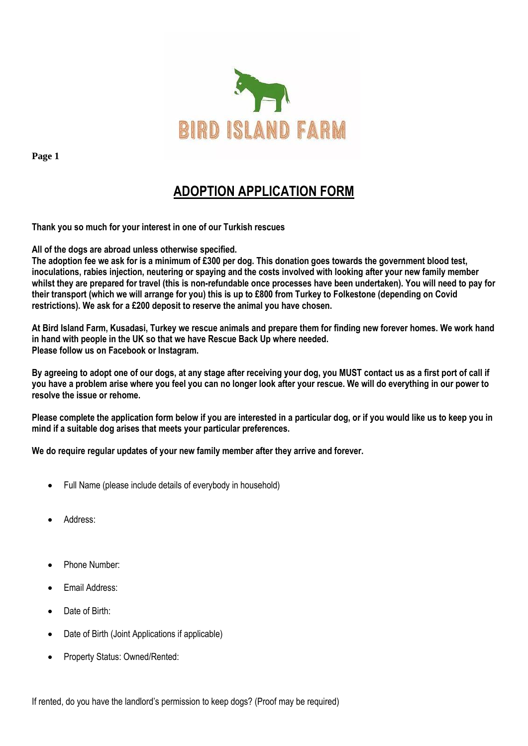

# **ADOPTION APPLICATION FORM**

**Thank you so much for your interest in one of our Turkish rescues**

**All of the dogs are abroad unless otherwise specified.**

**The adoption fee we ask for is a minimum of £300 per dog. This donation goes towards the government blood test, inoculations, rabies injection, neutering or spaying and the costs involved with looking after your new family member whilst they are prepared for travel (this is non-refundable once processes have been undertaken). You will need to pay for their transport (which we will arrange for you) this is up to £800 from Turkey to Folkestone (depending on Covid restrictions). We ask for a £200 deposit to reserve the animal you have chosen.**

**At Bird Island Farm, Kusadasi, Turkey we rescue animals and prepare them for finding new forever homes. We work hand in hand with people in the UK so that we have Rescue Back Up where needed. Please follow us on Facebook or Instagram.** 

**By agreeing to adopt one of our dogs, at any stage after receiving your dog, you MUST contact us as a first port of call if you have a problem arise where you feel you can no longer look after your rescue. We will do everything in our power to resolve the issue or rehome.**

**Please complete the application form below if you are interested in a particular dog, or if you would like us to keep you in mind if a suitable dog arises that meets your particular preferences.** 

## **We do require regular updates of your new family member after they arrive and forever.**

- Full Name (please include details of everybody in household)
- Address:
- Phone Number:
- Email Address:
- Date of Birth:
- Date of Birth (Joint Applications if applicable)
- Property Status: Owned/Rented:

If rented, do you have the landlord's permission to keep dogs? (Proof may be required)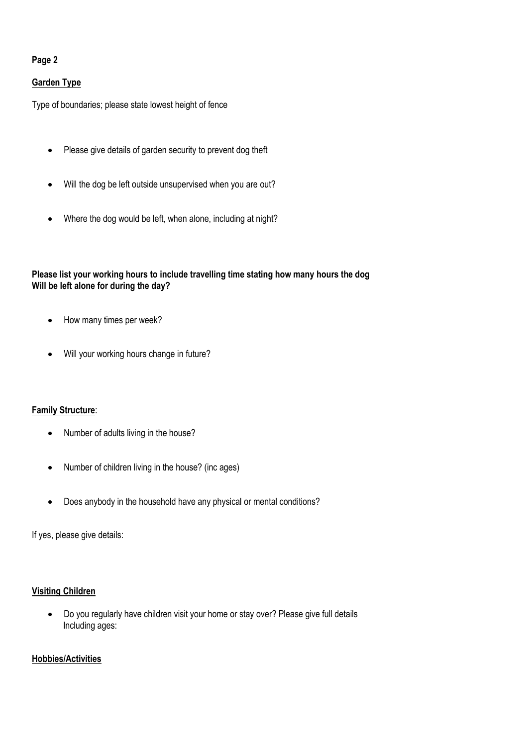## **Garden Type**

Type of boundaries; please state lowest height of fence

- Please give details of garden security to prevent dog theft
- Will the dog be left outside unsupervised when you are out?
- Where the dog would be left, when alone, including at night?

## **Please list your working hours to include travelling time stating how many hours the dog Will be left alone for during the day?**

- How many times per week?
- Will your working hours change in future?

## **Family Structure**:

- Number of adults living in the house?
- Number of children living in the house? (inc ages)
- Does anybody in the household have any physical or mental conditions?

If yes, please give details:

## **Visiting Children**

• Do you regularly have children visit your home or stay over? Please give full details Including ages:

## **Hobbies/Activities**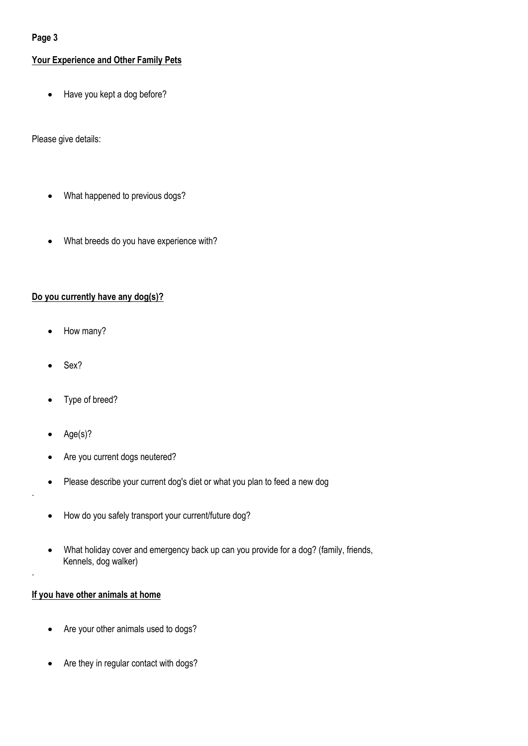# **Your Experience and Other Family Pets**

• Have you kept a dog before?

Please give details:

- What happened to previous dogs?
- What breeds do you have experience with?

## **Do you currently have any dog(s)?**

- How many?
- Sex?
- Type of breed?
- Age(s)?

.

.

- Are you current dogs neutered?
- Please describe your current dog's diet or what you plan to feed a new dog
- How do you safely transport your current/future dog?
- What holiday cover and emergency back up can you provide for a dog? (family, friends, Kennels, dog walker)

## **If you have other animals at home**

- Are your other animals used to dogs?
- Are they in regular contact with dogs?